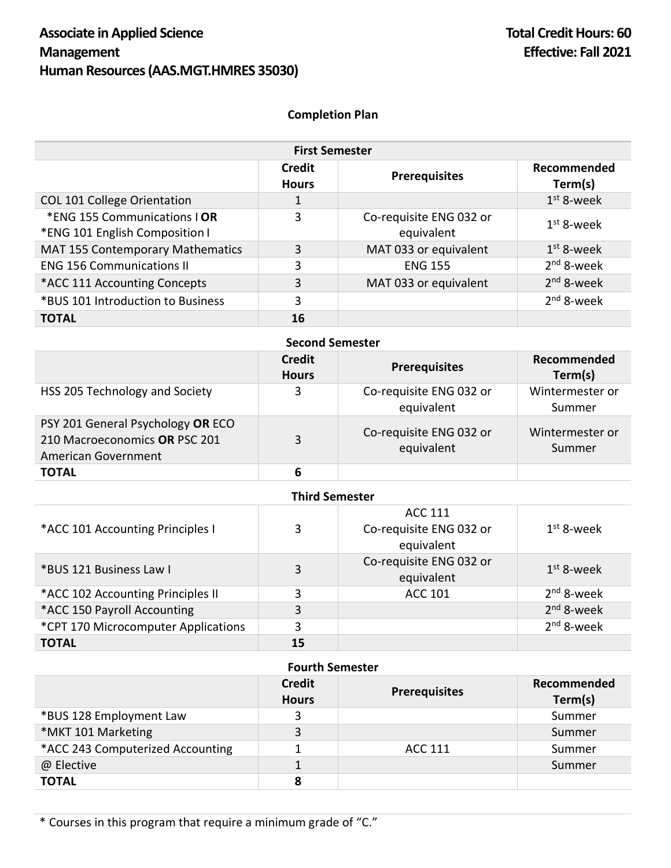## **Completion Plan**

| <b>First Semester</b>                                          |                        |                                       |                        |
|----------------------------------------------------------------|------------------------|---------------------------------------|------------------------|
|                                                                | Credit<br><b>Hours</b> | <b>Prerequisites</b>                  | Recommended<br>Term(s) |
| COL 101 College Orientation                                    |                        |                                       | $1st$ 8-week           |
| *ENG 155 Communications   OR<br>*ENG 101 English Composition I | 3                      | Co-requisite ENG 032 or<br>equivalent | $1st$ 8-week           |
| MAT 155 Contemporary Mathematics                               | 3                      | MAT 033 or equivalent                 | $1st$ 8-week           |
| <b>ENG 156 Communications II</b>                               | 3                      | <b>ENG 155</b>                        | $2nd$ 8-week           |
| *ACC 111 Accounting Concepts                                   | 3                      | MAT 033 or equivalent                 | $2nd$ 8-week           |
| *BUS 101 Introduction to Business                              | 3                      |                                       | $2nd$ 8-week           |
| <b>TOTAL</b>                                                   | 16                     |                                       |                        |

| <b>Second Semester</b>                                                                    |                               |                                       |                           |
|-------------------------------------------------------------------------------------------|-------------------------------|---------------------------------------|---------------------------|
|                                                                                           | <b>Credit</b><br><b>Hours</b> | <b>Prerequisites</b>                  | Recommended<br>Term(s)    |
| HSS 205 Technology and Society                                                            | 3                             | Co-requisite ENG 032 or<br>equivalent | Wintermester or<br>Summer |
| PSY 201 General Psychology OR ECO<br>210 Macroeconomics OR PSC 201<br>American Government | 3                             | Co-requisite ENG 032 or<br>equivalent | Wintermester or<br>Summer |
| <b>TOTAL</b>                                                                              | 6                             |                                       |                           |

| <b>Third Semester</b>               |    |                                                         |              |
|-------------------------------------|----|---------------------------------------------------------|--------------|
| *ACC 101 Accounting Principles I    | 3  | <b>ACC 111</b><br>Co-requisite ENG 032 or<br>equivalent | $1st$ 8-week |
| *BUS 121 Business Law I             | 3  | Co-requisite ENG 032 or<br>equivalent                   | $1st$ 8-week |
| *ACC 102 Accounting Principles II   | 3  | <b>ACC 101</b>                                          | $2nd$ 8-week |
| *ACC 150 Payroll Accounting         | 3  |                                                         | $2nd$ 8-week |
| *CPT 170 Microcomputer Applications | 3  |                                                         | $2nd$ 8-week |
| <b>TOTAL</b>                        | 15 |                                                         |              |

## **Fourth Semester**

|                                  | <b>Credit</b><br><b>Hours</b> | <b>Prerequisites</b> | Recommended<br>Term(s) |
|----------------------------------|-------------------------------|----------------------|------------------------|
| *BUS 128 Employment Law          |                               |                      | Summer                 |
| *MKT 101 Marketing               | 3                             |                      | Summer                 |
| *ACC 243 Computerized Accounting |                               | ACC 111              | Summer                 |
| @ Elective                       |                               |                      | Summer                 |
| <b>TOTAL</b>                     | 8                             |                      |                        |

\* Courses in this program that require a minimum grade of "C."